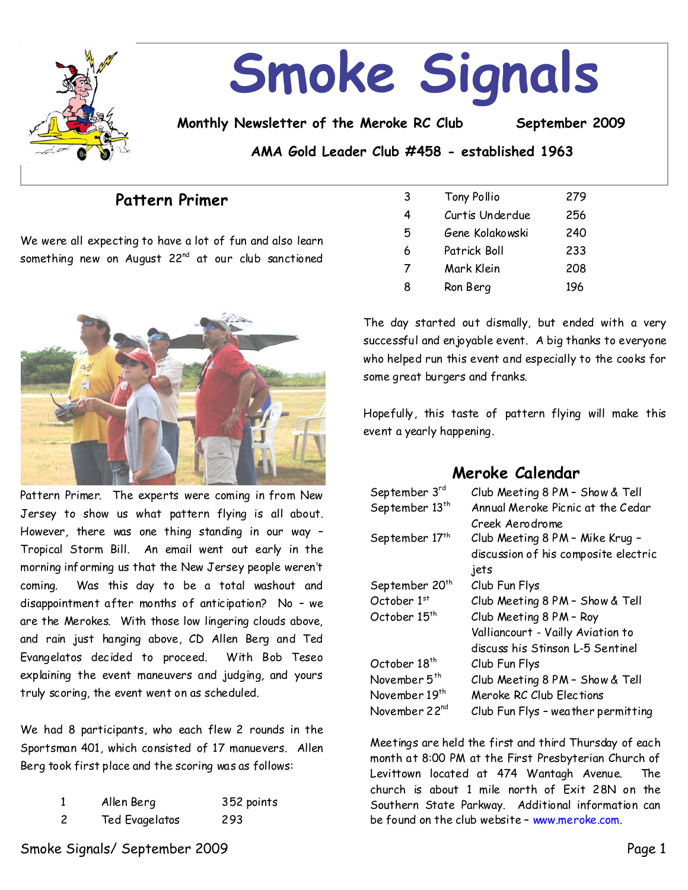

# **Smoke Signals**

**Monthly Newsletter of the Meroke RC Club September 2009**

**AMA Gold Leader Club #458 - established 1963**

## **Pattern Primer**

We were all expecting to have a lot of fun and also learn something new on August  $22^{nd}$  at our club sanctioned



Pattern Primer. The experts were coming in from New Jersey to show us what pattern flying is all about. However, there was one thing standing in our way – Tropical Storm Bill. An email went out early in the morning informing us that the New Jersey people weren't coming. Was this day to be a total washout and disappointment after months of anticipation? No–we are the Merokes. With those low lingering clouds above, and rain just hanging above, CD Allen Berg and Ted Evangelatos decided to proceed. With Bob Teseo explaining the event maneuvers and judging, and yours truly scoring, the event went on as scheduled.

We had 8 participants, who each flew 2 rounds in the Sportsman 401, which consisted of 17 manuevers. Allen Berg took first place and the scoring was as follows:

|     | Allen Berg     | 352 points |
|-----|----------------|------------|
| - 2 | Ted Evagelatos | 293        |

| -3 | Tony Pollio     | 279 |
|----|-----------------|-----|
| 4  | Curtis Underdue | 256 |
| 5  | Gene Kolakowski | 240 |
| 6  | Patrick Boll    | 233 |
| 7  | Mark Klein      | 208 |
| 8  | Ron Berg        | 196 |

The day started out dismally, but ended with a very successful and enjoyable event. A big thanks to everyone who helped run this event and especially to the cooks for some great burgers and franks.

Hopefully, this taste of pattern flying will make this event a yearly happening.

## **Meroke Calendar**

| September 3rd              | Club Meeting 8 PM - Show & Tell      |  |
|----------------------------|--------------------------------------|--|
| September 13 <sup>th</sup> | Annual Meroke Picnic at the Cedar    |  |
|                            | Creek Aerodrome                      |  |
| September 17th             | Club Meeting 8 PM - Mike Krug -      |  |
|                            | discussion of his composite electric |  |
|                            | jets                                 |  |
| September 20 <sup>th</sup> | Club Fun Flys                        |  |
| October $1st$              | Club Meeting 8 PM - Show & Tell      |  |
| October 15 <sup>th</sup>   | Club Meeting 8 PM - Roy              |  |
|                            | Valliancourt - Vailly Aviation to    |  |
|                            | discuss his Stinson L-5 Sentinel     |  |
| October 18 <sup>th</sup>   | Club Fun Flys                        |  |
| November 5 <sup>th</sup>   | Club Meeting 8 PM - Show & Tell      |  |
| November 19 <sup>th</sup>  | Meroke RC Club Elections             |  |
| November 22nd              | Club Fun Flys - weather permitting   |  |

Meetings are held the first and third Thursday of each month at 8:00 PM at the First Presbyterian Church of Levittown located at 474 Wantagh Avenue. The church is about 1 mile north of Exit 28N on the Southern State Parkway. Additional information can be found on the club website - www.meroke.com.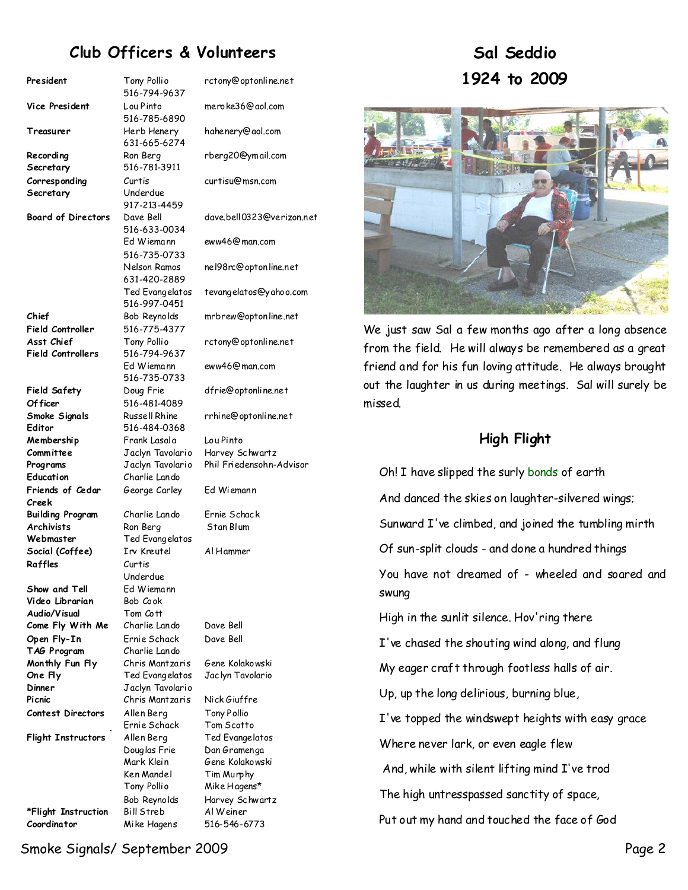# **Club Officers & Volunteers**

| President                 | Tony Pollio      | r                      |
|---------------------------|------------------|------------------------|
|                           | 516-794-9637     |                        |
| Vice President            | Lou Pinto        | ľ                      |
|                           | 516-785-6890     |                        |
| Treasurer                 | Herb Henery      | ŀ                      |
|                           | 631-665-6274     |                        |
| Recording                 | Ron Berg         | r                      |
| Secretary                 | 516-781-3911     |                        |
| Corresponding             | Curtis           | $\mathbf{\mathcal{L}}$ |
| Secretary                 | Underdue         |                        |
|                           | 917-213-4459     |                        |
| <b>Board of Directors</b> | Dave Bell        | C                      |
|                           | 516-633-0034     |                        |
|                           | Ed Wiemann       | e                      |
|                           | 516-735-0733     |                        |
|                           | Nelson Ramos     | r                      |
|                           | 631-420-2889     |                        |
|                           | Ted Evangelatos  | 1                      |
|                           | 516-997-0451     |                        |
| Chief                     | Bob Reynolds     |                        |
|                           |                  | r                      |
| Field Controller          | 516-775-4377     |                        |
| Asst Chief                | Tony Pollio      | r                      |
| <b>Field Controllers</b>  | 516-794-9637     |                        |
|                           | Ed Wiemann       | e                      |
|                           | 516-735-0733     |                        |
| Field Safety              | Doug Frie        | C                      |
| Of ficer                  | 516-481-4089     |                        |
| Smoke Signals             | Russell Rhine    | r                      |
| Editor                    | 516-484-0368     |                        |
| Membership                | Frank Lasala     | ι                      |
| Committee                 | Jaclyn Tavolario | ŀ                      |
| Programs                  | Jaclyn Tavolario | F                      |
| Education                 | Charlie Lando    |                        |
| Friends of Cedar<br>Creek | George Carley    | E                      |
| <b>Building Program</b>   | Charlie Lando    | E                      |
| <b>Archivists</b>         | Ron Berg         |                        |
| Webmaster                 | Ted Evangelatos  |                        |
| Social (Coffee)           | Irv Kreutel      | I                      |
| Raffles                   | Curtis           |                        |
|                           | Underdue         |                        |
| Show and Tell             | Ed Wiemann       |                        |
| Video Librarian           | Bob Cook         |                        |
| Audio/Visual              | Tom Cott         |                        |
| Come Fly With Me          | Charlie Lando    | ľ                      |
| Open Fly-In               | Ernie Schack     | ľ                      |
| TAG Program               | Charlie Lando    |                        |
| Monthly Fun Fly           | Chris Mantzaris  | Ŀ                      |
| One Fly                   | Ted Evangelatos  | J                      |
| Dinner                    | Jaclyn Tavolario |                        |
| Picnic                    | Chris Mantzaris  | ľ                      |
|                           |                  |                        |
| <b>Contest Directors</b>  | Allen Berg       |                        |
|                           | Ernie Schack     |                        |
| <b>Flight Instructors</b> | Allen Berg       |                        |
|                           | Douglas Frie     | ľ                      |
|                           | Mark Klein       | Ŀ                      |
|                           | Ken Mandel       |                        |
|                           | Tony Pollio      | I                      |
|                           | Bob Reynolds     | ŀ                      |
| *Flight Instruction       | Bill Streb       | í                      |

rctony@optonline.net meroke36@aol.com hahenery@aol.com rberg20@ymail.com curtisu@msn.com dave.bell0323@verizon.net eww46@man.com nel98rc@optonline.net tevangelatos@yahoo.com mrbrew@optonline.net rctony@optonline.net eww46@man.com dfrie@optonline.net rrhine@optonline.net Lou Pinto Harvey Schwartz **Phil Friedensohn-Advisor** Fd Wiemann Ernie Schack **Stan Blum Social (Coffee)** Irv Kreutel Al Hammer Dave Bell Dave Bell **Monthly Fun Fly** Chris Mantzaris Gene Kolakowski Jac lyn Tavolario **Nick Giuffre Tony Pollio** Tom Scotto **Fed Evangelatos** Dan Gramenga Gene Kolakowski Tim Murphy Mike Hagens\* Harvey Schwartz **\*Flight Instruction** Bill Streb Al Weiner **Coordinator** Mike Hagens 516-546-6773

# **Sal Seddio 1924to 2009**



We just saw Sal a few months ago after a long absence from the field. He will always be remembered as a great friend and for his fun loving attitude. He always brought out the laughter in us during meetings. Sal will surely be missed.

## **High Flight**

Oh! I have slipped the surly bonds of earth

And danced the skies on laughter-silvered wings;

Sunward I've climbed, and joined the tumbling mirth

Of sun-split clouds-and done a hundred things

You have not dreamed of-wheeled and soared and swung

High in the sunlit silence. Hov'ring there

I've chased the shouting wind along, and flung

My eager craft through footless halls of air.

Up, up the long delirious, burning blue,

I've topped the windswept heights with easy grace

Where never lark, or even eagle flew

And, while with silent lifting mind I've trod

The high untresspassed sanctity of space,

Put out my hand and touched the face of God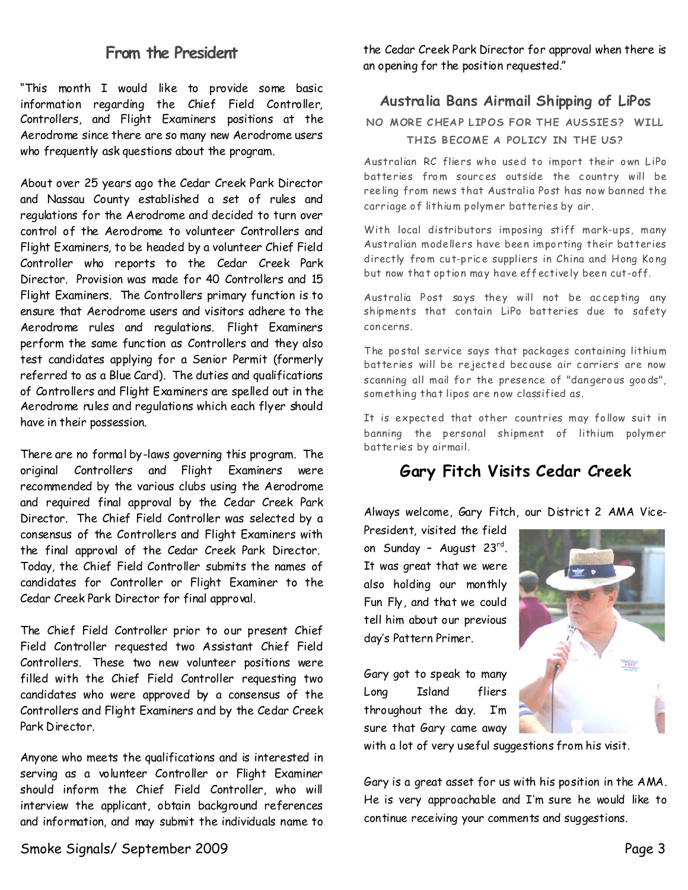## **From the President**

"This month I would like to provide some basic information regarding the Chief Field Controller, Controllers, and Flight Examiners positions at the Aerodrome since there are somany new Aerodrome users who frequently ask questions about the program.

About over 25 years ago the Cedar Creek Park Director and Nassau County established a set of rules and regulations for the Aerodrome and decided to turn over control of the Aerodrome to volunteer Controllers and Flight Examiners, to be headed by a volunteer Chief Field Controller who reports to the Cedar Creek Park Director. Provision was made for 40 Controllers and 15 Flight Examiners. The Controllers primary function is to ensurethat Aerodrome users and visitors adhere to the Aerodrome rules and regulations. Flight Examiners perform the same function as Controllers and they also test candidates applying for a Senior Permit (formerly referred to as a Blue Card). The duties and qualifications of Controllers and Flight Examiners are spelled out in the Aerodrome rules and regulations which each flyer should have in their possession.

There are no formal by-laws governing this program. The original Controllers and Flight Examiners were recommended by the various clubs using the Aerodrome and required final approval by the Cedar Creek Park Director. The Chief Field Controller was selected by a consensus of the Controllers and Flight Examiners with the final approval of the Cedar Creek Park Director. Today, the Chief Field Controller submits the names of candidates for Controller or Flight Examiner to the Cedar Creek Park Director for final approval.

The Chief Field Controller prior to our present Chief Field Controller requested two Assistant Chief Field Controllers. These two new volunteer positions were filled with the Chief Field Controller requesting two candidates who were approved by a consensus of the Controllers and Flight Examiners and by the Cedar Creek Park Director.

Anyone who meets the qualifications and is interested in serving as a volunteer Controller or Flight Examiner should inform the Chief Field Controller, who will interview the applicant, obtain background references and information, and may submit the individuals name to the Cedar Creek Park Director for approval when there is an opening for the position requested."

### **AustraliaBansAirmailShipping of LiPos**

NO MORE CHEAP LIPOS FOR THE AUSSIES? WILL **THIS BECOME A POLICY IN THE US?** 

Australian RC fliers who used to import their own LiPo batteries from sources outside the country will be reeling from news that Australia Post has now banned the carriage of lithium polymer batteries by air.

With local distributors imposing stiff mark-ups, many Australian modellers have been importing their batteries directly from cut-price suppliers in China and Hong Kong but now that option may have effectively been cut-off.

Australia Post says they will not be accepting any shipments that contain LiPo batteries due to safety concerns.

The postal service says that packages containing lithium batteries will be rejected bec ause air c arriers are now scanning all mail for the presence of "dangerous goods", something that lipos are now classified as.

It is expected that other countries may follow suit in banning the personal shipment of lithium polymer batteries by airmail.

# **Gary Fitch Visits Cedar Creek**

Always welcome, Gary Fitch, our District 2 AMA Vice-

President, visited the field on Sunday - August 23<sup>rd</sup>. It was great that we were also holding our monthly Fun Fly, and that we could tell him about our previous day's Pattern Primer.

Gary got to speak to many Long Island fliers throughout the day. I'm sure that Gary came away



with a lot of very useful suggestions from his visit.

Gary is a great asset for us with his position in the AMA. He is very approachable and I'm sure he would like to continue receiving your comments and suggestions.

Smoke Signals/ September 2009 Page 3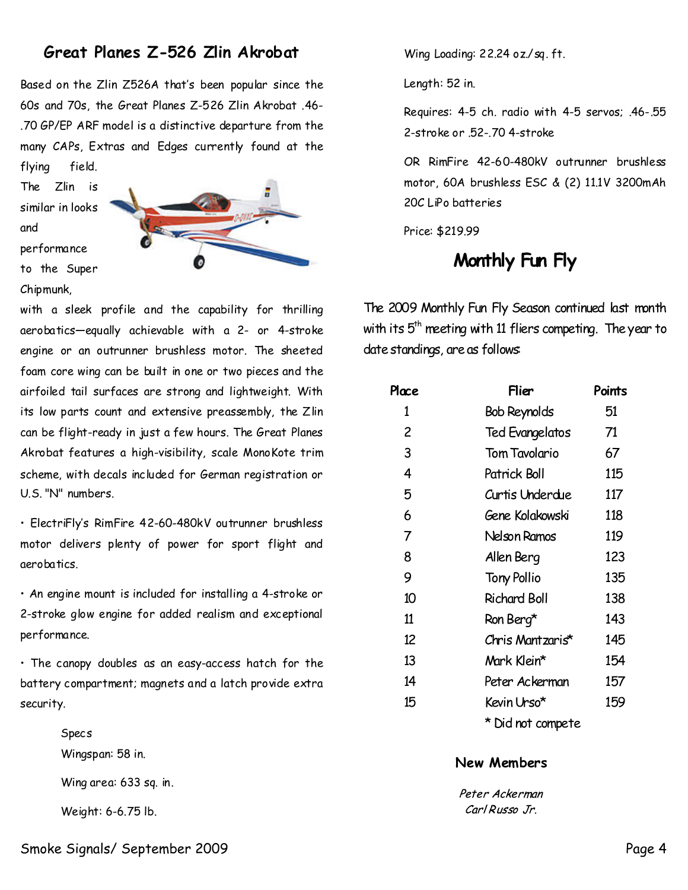# **Great Planes Z-526 Zlin Akrobat**

Based on the Zlin Z526A that's been popular since the 60s and 70s, the Great Planes Z-526 Zlin Akrobat .46- .70 GP/EP ARF model is a distinctive departure from the many CAPs, Extras and Edges currently found at the flying field.

The Zlin is similar in looks and performance to the Super Chipmunk,



with a sleek profile and the capability for thrilling aerobatics—equally achievable with a 2- or 4-stroke engine or an outrunner brushless motor. The sheeted foam core wing can be built in one or two pieces and the airfoiled tail surfaces are strong and lightweight. With its low parts count and extensive preassembly, the Zlin can be flight-ready in just a few hours. The Great Planes Akrobat features a high-visibility, scale MonoKote trim scheme, with decals included for German registration or U.S. "N" numbers.

• ElectriFly's RimFire 42-60-480kV outrunner brushless motor delivers plenty of power for sport flight and aerobatics.

• An engine mount is included for installing a 4-stroke or 2-stroke glow engine for added realism and exceptional performance.

• The canopy doubles as an easy-access hatch for the battery compartment; magnets and a latch provide extra security.

> Specs Wingspan: 58 in. Wing area: 633 sq. in. Weight: 6-6.75 lb.

Wing Loading: 22.24 oz./sq. ft.

Length: 52 in.

Requires: 4-5 ch. radio with 4-5 servos; .46-.55 2-stroke or .52-.70 4-stroke

OR RimFire 42-60-480kV outrunner brushless motor, 60A brushless ESC & (2) 11.1V 3200mAh 20C LiPo batteries

Price: \$219.99

# **Monthly Fun Fly**

The 2009 Monthly Fun Fly Season continued last month with its  $5<sup>th</sup>$  meeting with 11 fliers competing. The year to date standings, are as follows:

| Place | Flier                  | Points |
|-------|------------------------|--------|
| 1     | <b>Bob Reynolds</b>    | 51     |
| 2     | <b>Ted Evangelatos</b> | 71     |
| 3     | <b>Tom Tavolario</b>   | 67     |
| 4     | Patrick Boll           | 115    |
| 5     | Curtis Underdue        | 117    |
| 6     | Gene Kolakowski        | 118    |
| 7     | Nelson Ramos           | 119    |
| 8     | Allen Berg             | 123    |
| 9     | <b>Tony Pollio</b>     | 135    |
| 10    | <b>Richard Boll</b>    | 138    |
| 11    | Ron Berg*              | 143    |
| 12    | Chris Mantzaris*       | 145    |
| 13    | Mark Klein*            | 154    |
| 14    | Peter Ackerman         | 157    |
| 15    | Kevin Urso*            | 159    |
|       | * Did not compete      |        |

#### **New Members**

Peter Ackerman Carl Russo Jr.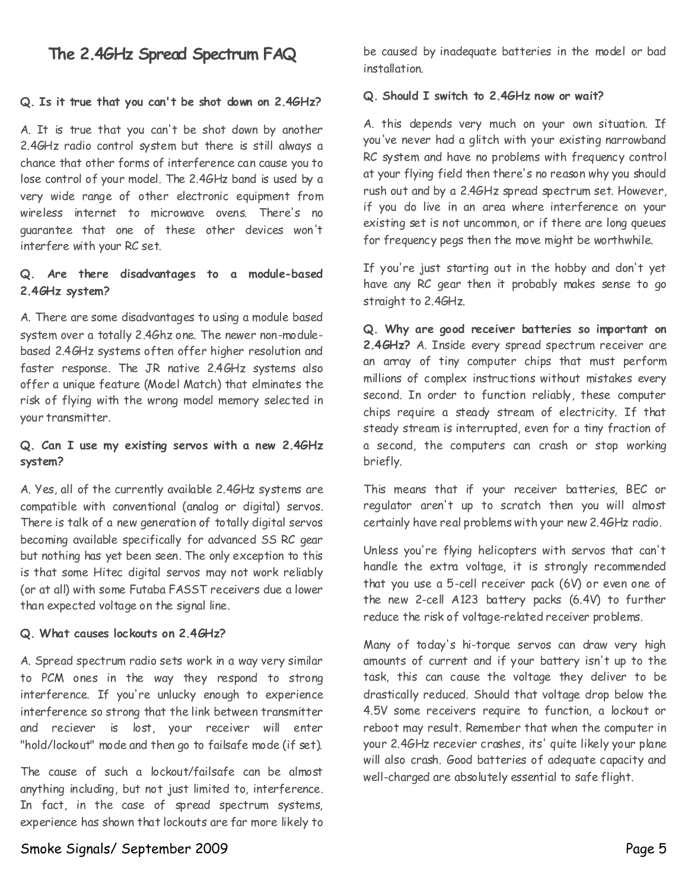# **The 2.4GHz Spread Spectrum FAQ**

#### **Q. Is it true that you can't be shot down on 2.4GHz?**

A. It is true that you can't be shot down by another 2.4GHz radio control system but there is still always a chance that other forms of interference can cause you to lose control of your model. The 2.4GHz band is used by a very wide range of other electronic equipment from wireless internet to microwave ovens. There's no guarantee that one of these other devices won't interfere with your RC set.

#### **Q. Are there disadvantages to a module-based 2.4GHz system?**

A. There are some disadvantages to using a module based system over a totally 2.4Ghz one. The newer non-module based 2.4GHz systems often offer higher resolution and faster response. The JR native 2.4GHz systems also offer a unique feature (Model Match) that elminates the risk of flying with the wrong model memory selected in your transmitter.

#### **Q. Can I use my existing servos with a new 2.4GHz system?**

A. Yes, all of the currently available 2.4GHz systems are compatible with conventional (analog or digital) servos. There is talk of a new generation of totally digital servos becoming available specifically for advanced SS RC gear but nothing has yet been seen. The only exception to this is that some Hitec digital servos may not work reliably (or at all) with some Futaba FASST receivers due a lower than expected voltage on the signal line.

#### **Q. What causes lockouts on 2.4GHz?**

A. Spread spectrum radio sets work in a way very similar to PCM ones in the way they respond to strong interference. If you're unlucky enough to experience interference so strong that the link between transmitter and reciever is lost, your receiver will enter "hold/lockout" mode and then go to failsafe mode (if set).

The cause of such a lockout/failsafe can be almost anything including, but not just limited to, interference. In fact, in the case of spread spectrum systems, experience has shown that lockouts are far more likely to

be caused by inadequate batteries in the model or bad installation.

#### **Q. Should I switch to 2.4GHz now or wait?**

A. this depends very much on your own situation. If you've never had a glitch with your existing narrowband RC system and have no problems with frequency control at your flying field then there's no reason why you should rush out and by a 2.4GHz spread spectrum set. However, if you do live in an area where interference on your existing set is not uncommon, or if there are long queues for frequency pegs then the move might be worthwhile.

If you're just starting out in the hobby and don't yet have any RC gear then it probably makes sense to go straight to 2.4GHz.

**Q. Why are good receiver batteries so important on 2.4GHz?**A. Inside every spread spectrum receiver are an array of tiny computer chips that must perform millions of complex instructions without mistakes every second. In order to function reliably, these computer chips require a steady stream of electricity. If that steady stream is interrupted, even for a tiny fraction of a second, the computers can crash or stop working briefly.

This means that if your receiver batteries, BEC or regulator aren't up to scratch then you will almost certainly have real problems with your new 2.4GHz radio.

Unless you're flying helicopters with servos that can't handle the extra voltage, it is strongly recommended that you use a 5-cell receiver pack (6V) or even one of the new 2-cell A123 battery packs (6.4V) to further reduce the risk of voltage-related receiver problems.

Many of today's hi-torque servos can draw very high amounts of current and if your battery isn't up to the task, this can cause the voltage they deliver to be drastically reduced. Should that voltage drop below the 4.5V some receivers require to function, a lockout or reboot may result. Remember that when the computer in your 2.4GHz recevier crashes, its' quite likely your plane will also crash. Good batteries of adequate capacity and well-charged are absolutely essential to safe flight.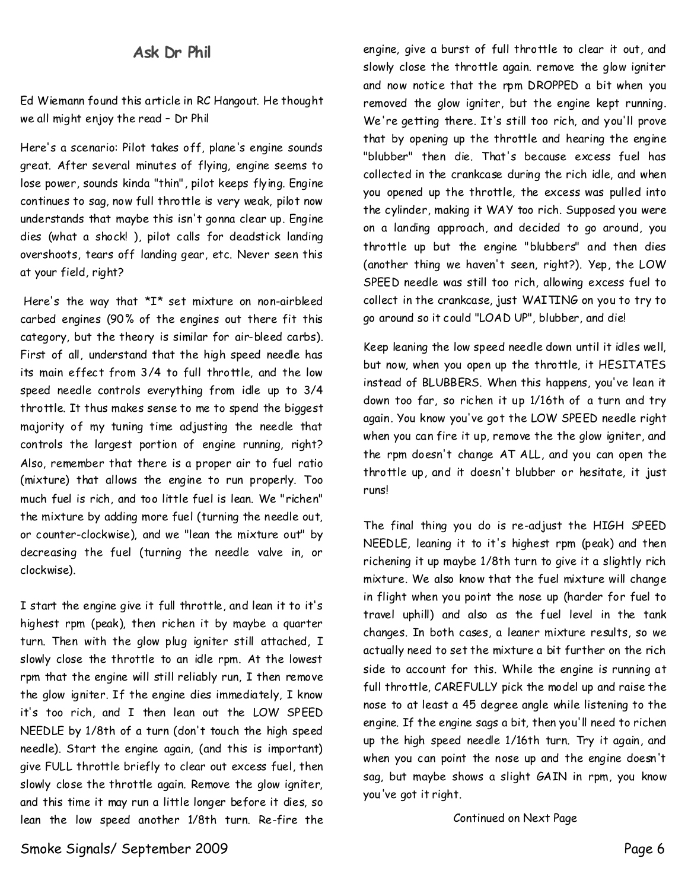## **AskDr Phil**

Ed Wiemann found this article in RC Hangout. He thought we all might enjoy the read - Dr Phil

Here's ascenario: Pilot takes off, plane's engine sounds great. After several minutes of flying, engine seems to lose power, sounds kinda "thin", pilot keeps flying. Engine continues to sag, now full throttle is very weak, pilot now understands that maybe this isn't gonna clear up. Engine dies (what a shock! ), pilot calls for deadstick landing overshoots, tears off landing gear, etc. Never seen this at your field, right?

Here's the way that  $*I*$  set mixture on non-airbleed carbed engines (90% of the engines out there fit this category, but the theory is similar for air-bleed carbs). First of all, understand that the high speed needle has its main effect from 3/4 to full throttle, and the low speed needle controls everything from idle up to 3/4 throttle. It thus makes sense to me to spend the biggest majority of my tuning time adjusting the needle that controls the largest portion of engine running, right? Also, remember that there is a proper air to fuel ratio (mixture) that allows the engine to run properly. Too much fuel is rich, and too little fuel is lean. We "richen" the mixture by adding more fuel (turning the needle out, or counter-clockwise), and we "lean the mixture out" by decreasing the fuel (turning the needle valve in, or clockwise).

I start the engine give it full throttle, and lean it to it's highest rpm (peak), then richen it by maybe a quarter turn. Then with the glow plug igniter still attached, I slowly close the throttle to an idle rpm. At the lowest rpm that the engine will still reliably run, I then remove the glow igniter. If the engine dies immediately, I know it's too rich, and I then lean out the LOW SPEED NEEDLE by 1/8th of a turn (don't touch the high speed needle). Start the engine again, (and this is important) give FULL throttle briefly to clear out excess fuel, then slowly close the throttle again. Remove the glow igniter, and this time it may run a little longer before it dies, so lean the low speed another 1/8th turn. Re-fire the

engine, give a burst of full throttle to clear it out, and slowly close the throttle again. remove the glow igniter and now notice that the rpm DROPPED a bit when you removed the glow igniter, but the engine kept running. We're getting there. It's still too rich, and you'll prove that by opening up the throttle and hearing the engine "blubber" then die. That's because excess fuel has collected in the crankcase during the rich idle, and when you opened up the throttle, the excess was pulled into the cylinder, making it WAY too rich. Supposed you were on a landing approach, and decided to go around, you throttle up but the engine "blubbers" and then dies (another thing we haven't seen, right?). Yep, the LOW SPEED needle was still too rich, allowing excess fuel to collect in the crankcase, just WAITING on you to try to go around so it could "LOAD UP", blubber, and die!

Keep leaning the low speed needle down until it idles well, but now, when you open up the throttle, it HESITATES instead of BLUBBERS. When this happens, you've lean it down too far, so richen it up1/16th of a turn and try again. You know you've got the LOW SPEED needle right when you can fire it up, remove the the glow igniter, and the rpm doesn't change AT ALL, and you can open the throttle up, and it doesn't blubber or hesitate, it just runs!

The final thing you do is re-adjust the HIGH SPEED NEEDLE, leaning it to it's highest rpm (peak) and then richening it up maybe 1/8th turn to give it a slightly rich mixture. We also know that the fuel mixture will change in flight when you point the nose up (harder for fuel to travel uphill) and also as the fuel level in the tank changes. In both cases, a leaner mixture results, so we actually need to set the mixture a bit further on the rich side to account for this. While the engine is running at full throttle, CAREFULLY pick the model up and raise the nose to at least a 45 degree angle while listening to the engine. If the engine sags a bit, then you'll need to richen up the high speed needle 1/16th turn. Try it again, and when you can point the nose up and the engine doesn't sag, but maybe shows a slight GAIN in rpm, you know you've got it right.

Continued on Next Page